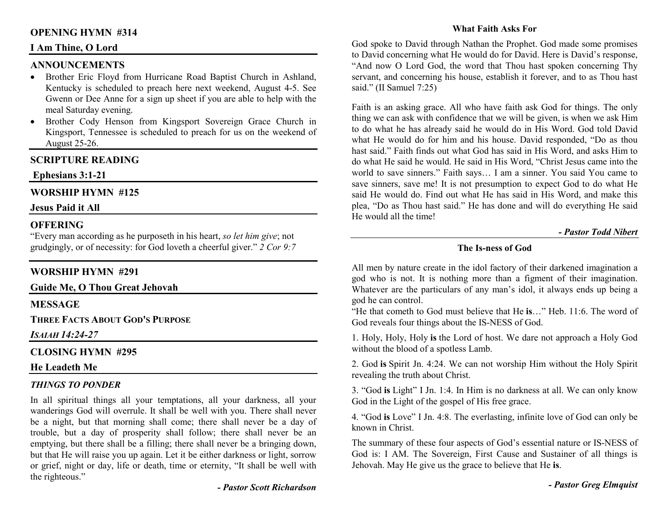# **OPENING HYMN #314**

## **I Am Thine, O Lord**

# **ANNOUNCEMENTS**

- Brother Eric Floyd from Hurricane Road Baptist Church in Ashland, Kentucky is scheduled to preach here next weekend, August 4-5. See Gwenn or Dee Anne for a sign up sheet if you are able to help with the meal Saturday evening.
- Brother Cody Henson from Kingsport Sovereign Grace Church in Kingsport, Tennessee is scheduled to preach for us on the weekend of August 25-26.

# **SCRIPTURE READING**

# **Ephesians 3:1-21**

## **WORSHIP HYMN #125**

#### **Jesus Paid it All**

# **OFFERING**

 "Every man according as he purposeth in his heart, *so let him give*; not grudgingly, or of necessity: for God loveth a cheerful giver." *2 Cor 9:7*

### **WORSHIP HYMN #291**

**Guide Me, O Thou Great Jehovah** 

**MESSAGE** 

**THREE FACTS ABOUT GOD'S PURPOSE**

*ISAIAH 14:24-27* 

### **CLOSING HYMN #295**

# **He Leadeth Me**

#### *THINGS TO PONDER*

In all spiritual things all your temptations, all your darkness, all your wanderings God will overrule. It shall be well with you. There shall never be a night, but that morning shall come; there shall never be a day of trouble, but a day of prosperity shall follow; there shall never be an emptying, but there shall be a filling; there shall never be a bringing down, but that He will raise you up again. Let it be either darkness or light, sorrow or grief, night or day, life or death, time or eternity, "It shall be well with the righteous."

#### **What Faith Asks For**

God spoke to David through Nathan the Prophet. God made some promises to David concerning what He would do for David. Here is David's response, "And now O Lord God, the word that Thou hast spoken concerning Thy servant, and concerning his house, establish it forever, and to as Thou hast said." (II Samuel 7:25)

Faith is an asking grace. All who have faith ask God for things. The only thing we can ask with confidence that we will be given, is when we ask Him to do what he has already said he would do in His Word. God told David what He would do for him and his house. David responded, "Do as thou hast said." Faith finds out what God has said in His Word, and asks Him to do what He said he would. He said in His Word, "Christ Jesus came into the world to save sinners." Faith says… I am a sinner. You said You came to save sinners, save me! It is not presumption to expect God to do what He said He would do. Find out what He has said in His Word, and make this plea, "Do as Thou hast said." He has done and will do everything He said He would all the time!

#### *- Pastor Todd Nibert*

# **The Is-ness of God**

All men by nature create in the idol factory of their darkened imagination a god who is not. It is nothing more than a figment of their imagination. Whatever are the particulars of any man's idol, it always ends up being a god he can control.

 "He that cometh to God must believe that He **is**…" Heb. 11:6. The word of God reveals four things about the IS-NESS of God.

1. Holy, Holy, Holy **is** the Lord of host. We dare not approach a Holy God without the blood of a spotless Lamb.

2. God **is** Spirit Jn. 4:24. We can not worship Him without the Holy Spirit revealing the truth about Christ.

3. "God **is** Light" I Jn. 1:4. In Him is no darkness at all. We can only know God in the Light of the gospel of His free grace.

4. "God **is** Love" I Jn. 4:8. The everlasting, infinite love of God can only be known in Christ.

The summary of these four aspects of God's essential nature or IS-NESS of God is: I AM. The Sovereign, First Cause and Sustainer of all things is Jehovah. May He give us the grace to believe that He **is**.

*- Pastor Greg Elmquist* 

*- Pastor Scott Richardson*